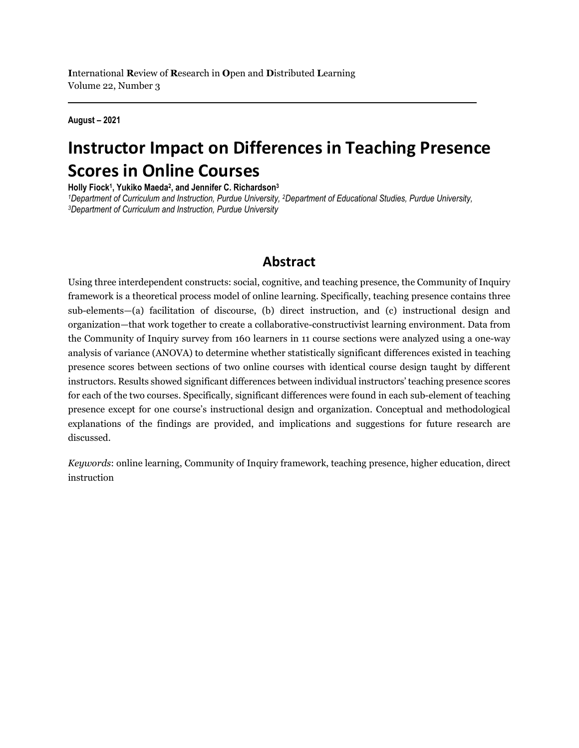**August – 2021**

# **Instructor Impact on Differences in Teaching Presence Scores in Online Courses**

**Holly Fiock1, Yukiko Maeda2, and Jennifer C. Richardson3**

*1Department of Curriculum and Instruction, Purdue University, <sup>2</sup>Department of Educational Studies, Purdue University, <sup>3</sup>Department of Curriculum and Instruction, Purdue University,* 

### **Abstract**

Using three interdependent constructs: social, cognitive, and teaching presence, the Community of Inquiry framework is a theoretical process model of online learning. Specifically, teaching presence contains three sub-elements—(a) facilitation of discourse, (b) direct instruction, and (c) instructional design and organization—that work together to create a collaborative-constructivist learning environment. Data from the Community of Inquiry survey from 160 learners in 11 course sections were analyzed using a one-way analysis of variance (ANOVA) to determine whether statistically significant differences existed in teaching presence scores between sections of two online courses with identical course design taught by different instructors. Results showed significant differences between individual instructors' teaching presence scores for each of the two courses. Specifically, significant differences were found in each sub-element of teaching presence except for one course's instructional design and organization. Conceptual and methodological explanations of the findings are provided, and implications and suggestions for future research are discussed.

*Keywords*: online learning, Community of Inquiry framework, teaching presence, higher education, direct instruction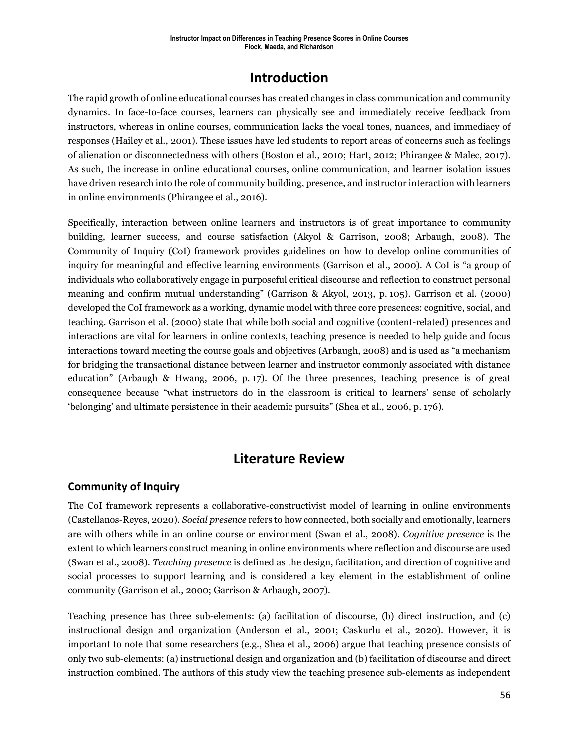### **Introduction**

The rapid growth of online educational courses has created changes in class communication and community dynamics. In face-to-face courses, learners can physically see and immediately receive feedback from instructors, whereas in online courses, communication lacks the vocal tones, nuances, and immediacy of responses (Hailey et al., 2001). These issues have led students to report areas of concerns such as feelings of alienation or disconnectedness with others (Boston et al., 2010; Hart, 2012; Phirangee & Malec, 2017). As such, the increase in online educational courses, online communication, and learner isolation issues have driven research into the role of community building, presence, and instructor interaction with learners in online environments (Phirangee et al., 2016).

Specifically, interaction between online learners and instructors is of great importance to community building, learner success, and course satisfaction (Akyol & Garrison, 2008; Arbaugh, 2008). The Community of Inquiry (CoI) framework provides guidelines on how to develop online communities of inquiry for meaningful and effective learning environments (Garrison et al., 2000). A CoI is "a group of individuals who collaboratively engage in purposeful critical discourse and reflection to construct personal meaning and confirm mutual understanding" (Garrison & Akyol, 2013, p. 105). Garrison et al. (2000) developed the CoI framework as a working, dynamic model with three core presences: cognitive, social, and teaching. Garrison et al. (2000) state that while both social and cognitive (content-related) presences and interactions are vital for learners in online contexts, teaching presence is needed to help guide and focus interactions toward meeting the course goals and objectives (Arbaugh, 2008) and is used as "a mechanism for bridging the transactional distance between learner and instructor commonly associated with distance education" (Arbaugh & Hwang, 2006, p. 17). Of the three presences, teaching presence is of great consequence because "what instructors do in the classroom is critical to learners' sense of scholarly 'belonging' and ultimate persistence in their academic pursuits" (Shea et al., 2006, p. 176).

### **Literature Review**

### **Community of Inquiry**

The CoI framework represents a collaborative-constructivist model of learning in online environments (Castellanos-Reyes, 2020). *Social presence* refers to how connected, both socially and emotionally, learners are with others while in an online course or environment (Swan et al., 2008). *Cognitive presence* is the extent to which learners construct meaning in online environments where reflection and discourse are used (Swan et al., 2008). *Teaching presence* is defined as the design, facilitation, and direction of cognitive and social processes to support learning and is considered a key element in the establishment of online community (Garrison et al., 2000; Garrison & Arbaugh, 2007).

Teaching presence has three sub-elements: (a) facilitation of discourse, (b) direct instruction, and (c) instructional design and organization (Anderson et al., 2001; Caskurlu et al., 2020). However, it is important to note that some researchers (e.g., Shea et al., 2006) argue that teaching presence consists of only two sub-elements: (a) instructional design and organization and (b) facilitation of discourse and direct instruction combined. The authors of this study view the teaching presence sub-elements as independent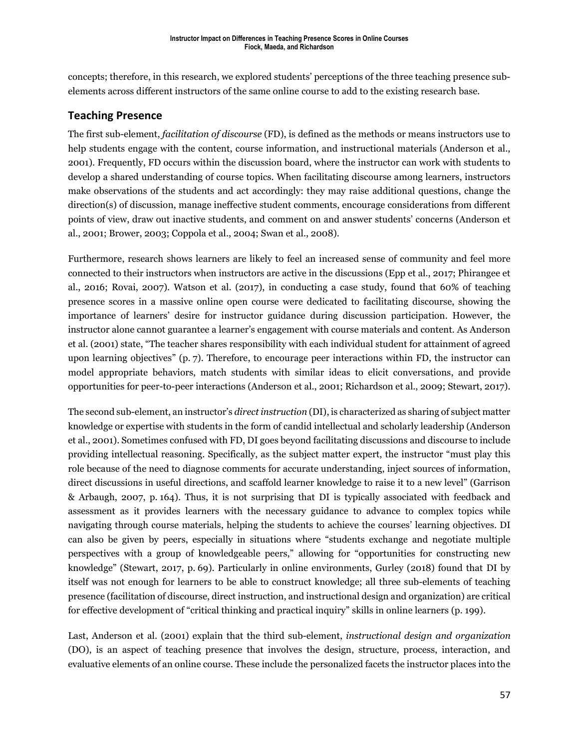concepts; therefore, in this research, we explored students' perceptions of the three teaching presence subelements across different instructors of the same online course to add to the existing research base.

### **Teaching Presence**

The first sub-element, *facilitation of discourse* (FD), is defined as the methods or means instructors use to help students engage with the content, course information, and instructional materials (Anderson et al., 2001). Frequently, FD occurs within the discussion board, where the instructor can work with students to develop a shared understanding of course topics. When facilitating discourse among learners, instructors make observations of the students and act accordingly: they may raise additional questions, change the direction(s) of discussion, manage ineffective student comments, encourage considerations from different points of view, draw out inactive students, and comment on and answer students' concerns (Anderson et al., 2001; Brower, 2003; Coppola et al., 2004; Swan et al., 2008).

Furthermore, research shows learners are likely to feel an increased sense of community and feel more connected to their instructors when instructors are active in the discussions (Epp et al., 2017; Phirangee et al., 2016; Rovai, 2007). Watson et al. (2017), in conducting a case study, found that 60% of teaching presence scores in a massive online open course were dedicated to facilitating discourse, showing the importance of learners' desire for instructor guidance during discussion participation. However, the instructor alone cannot guarantee a learner's engagement with course materials and content. As Anderson et al. (2001) state, "The teacher shares responsibility with each individual student for attainment of agreed upon learning objectives" (p. 7). Therefore, to encourage peer interactions within FD, the instructor can model appropriate behaviors, match students with similar ideas to elicit conversations, and provide opportunities for peer-to-peer interactions (Anderson et al., 2001; Richardson et al., 2009; Stewart, 2017).

The second sub-element, an instructor's *direct instruction* (DI), is characterized as sharing of subject matter knowledge or expertise with students in the form of candid intellectual and scholarly leadership (Anderson et al., 2001). Sometimes confused with FD, DI goes beyond facilitating discussions and discourse to include providing intellectual reasoning. Specifically, as the subject matter expert, the instructor "must play this role because of the need to diagnose comments for accurate understanding, inject sources of information, direct discussions in useful directions, and scaffold learner knowledge to raise it to a new level" (Garrison & Arbaugh, 2007, p. 164). Thus, it is not surprising that DI is typically associated with feedback and assessment as it provides learners with the necessary guidance to advance to complex topics while navigating through course materials, helping the students to achieve the courses' learning objectives. DI can also be given by peers, especially in situations where "students exchange and negotiate multiple perspectives with a group of knowledgeable peers," allowing for "opportunities for constructing new knowledge" (Stewart, 2017, p. 69). Particularly in online environments, Gurley (2018) found that DI by itself was not enough for learners to be able to construct knowledge; all three sub-elements of teaching presence (facilitation of discourse, direct instruction, and instructional design and organization) are critical for effective development of "critical thinking and practical inquiry" skills in online learners (p. 199).

Last, Anderson et al. (2001) explain that the third sub-element, *instructional design and organization* (DO), is an aspect of teaching presence that involves the design, structure, process, interaction, and evaluative elements of an online course. These include the personalized facets the instructor places into the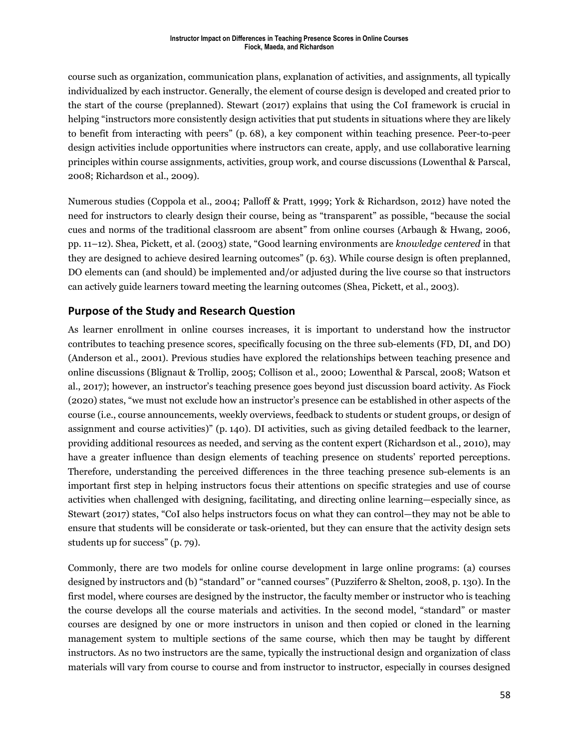course such as organization, communication plans, explanation of activities, and assignments, all typically individualized by each instructor. Generally, the element of course design is developed and created prior to the start of the course (preplanned). Stewart (2017) explains that using the CoI framework is crucial in helping "instructors more consistently design activities that put students in situations where they are likely to benefit from interacting with peers" (p. 68), a key component within teaching presence. Peer-to-peer design activities include opportunities where instructors can create, apply, and use collaborative learning principles within course assignments, activities, group work, and course discussions (Lowenthal & Parscal, 2008; Richardson et al., 2009).

Numerous studies (Coppola et al., 2004; Palloff & Pratt, 1999; York & Richardson, 2012) have noted the need for instructors to clearly design their course, being as "transparent" as possible, "because the social cues and norms of the traditional classroom are absent" from online courses (Arbaugh & Hwang, 2006, pp. 11–12). Shea, Pickett, et al. (2003) state, "Good learning environments are *knowledge centered* in that they are designed to achieve desired learning outcomes" (p. 63). While course design is often preplanned, DO elements can (and should) be implemented and/or adjusted during the live course so that instructors can actively guide learners toward meeting the learning outcomes (Shea, Pickett, et al., 2003).

### **Purpose of the Study and Research Question**

As learner enrollment in online courses increases, it is important to understand how the instructor contributes to teaching presence scores, specifically focusing on the three sub-elements (FD, DI, and DO) (Anderson et al., 2001). Previous studies have explored the relationships between teaching presence and online discussions (Blignaut & Trollip, 2005; Collison et al., 2000; Lowenthal & Parscal, 2008; Watson et al., 2017); however, an instructor's teaching presence goes beyond just discussion board activity. As Fiock (2020) states, "we must not exclude how an instructor's presence can be established in other aspects of the course (i.e., course announcements, weekly overviews, feedback to students or student groups, or design of assignment and course activities)" (p. 140). DI activities, such as giving detailed feedback to the learner, providing additional resources as needed, and serving as the content expert (Richardson et al., 2010), may have a greater influence than design elements of teaching presence on students' reported perceptions. Therefore, understanding the perceived differences in the three teaching presence sub-elements is an important first step in helping instructors focus their attentions on specific strategies and use of course activities when challenged with designing, facilitating, and directing online learning—especially since, as Stewart (2017) states, "CoI also helps instructors focus on what they can control—they may not be able to ensure that students will be considerate or task-oriented, but they can ensure that the activity design sets students up for success" (p. 79).

Commonly, there are two models for online course development in large online programs: (a) courses designed by instructors and (b) "standard" or "canned courses" (Puzziferro & Shelton, 2008, p. 130). In the first model, where courses are designed by the instructor, the faculty member or instructor who is teaching the course develops all the course materials and activities. In the second model, "standard" or master courses are designed by one or more instructors in unison and then copied or cloned in the learning management system to multiple sections of the same course, which then may be taught by different instructors. As no two instructors are the same, typically the instructional design and organization of class materials will vary from course to course and from instructor to instructor, especially in courses designed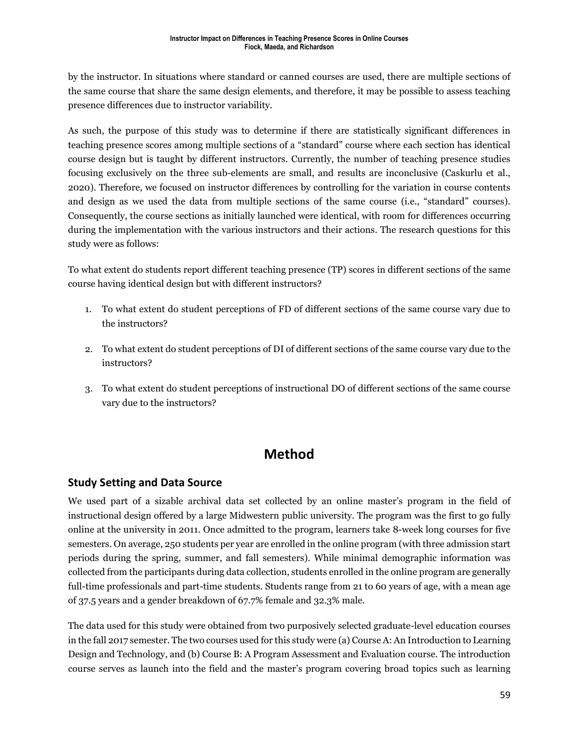by the instructor. In situations where standard or canned courses are used, there are multiple sections of the same course that share the same design elements, and therefore, it may be possible to assess teaching presence differences due to instructor variability.

As such, the purpose of this study was to determine if there are statistically significant differences in teaching presence scores among multiple sections of a "standard" course where each section has identical course design but is taught by different instructors. Currently, the number of teaching presence studies focusing exclusively on the three sub-elements are small, and results are inconclusive (Caskurlu et al., 2020). Therefore, we focused on instructor differences by controlling for the variation in course contents and design as we used the data from multiple sections of the same course (i.e., "standard" courses). Consequently, the course sections as initially launched were identical, with room for differences occurring during the implementation with the various instructors and their actions. The research questions for this study were as follows:

To what extent do students report different teaching presence (TP) scores in different sections of the same course having identical design but with different instructors?

- 1. To what extent do student perceptions of FD of different sections of the same course vary due to the instructors?
- 2. To what extent do student perceptions of DI of different sections of the same course vary due to the instructors?
- 3. To what extent do student perceptions of instructional DO of different sections of the same course vary due to the instructors?

### **Method**

### **Study Setting and Data Source**

We used part of a sizable archival data set collected by an online master's program in the field of instructional design offered by a large Midwestern public university. The program was the first to go fully online at the university in 2011. Once admitted to the program, learners take 8-week long courses for five semesters. On average, 250 students per year are enrolled in the online program (with three admission start periods during the spring, summer, and fall semesters). While minimal demographic information was collected from the participants during data collection, students enrolled in the online program are generally full-time professionals and part-time students. Students range from 21 to 60 years of age, with a mean age of 37.5 years and a gender breakdown of 67.7% female and 32.3% male.

The data used for this study were obtained from two purposively selected graduate-level education courses in the fall 2017 semester. The two courses used for this study were (a) Course A: An Introduction to Learning Design and Technology, and (b) Course B: A Program Assessment and Evaluation course. The introduction course serves as launch into the field and the master's program covering broad topics such as learning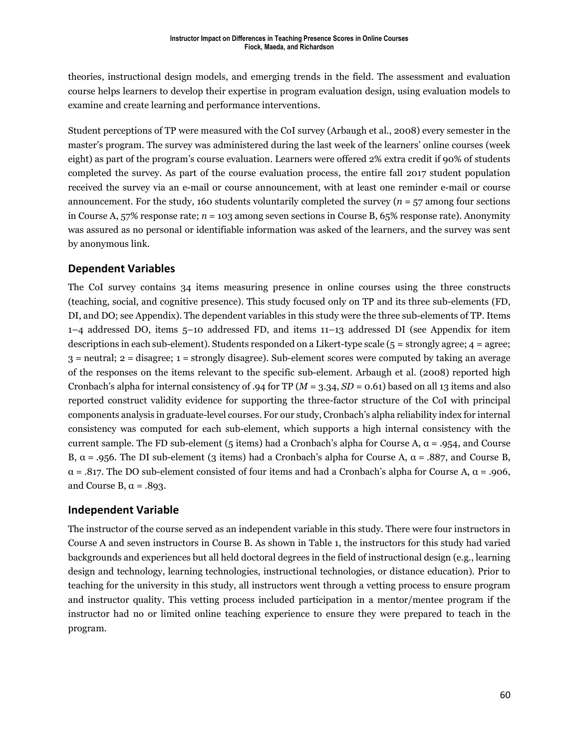theories, instructional design models, and emerging trends in the field. The assessment and evaluation course helps learners to develop their expertise in program evaluation design, using evaluation models to examine and create learning and performance interventions.

Student perceptions of TP were measured with the CoI survey (Arbaugh et al., 2008) every semester in the master's program. The survey was administered during the last week of the learners' online courses (week eight) as part of the program's course evaluation. Learners were offered 2% extra credit if 90% of students completed the survey. As part of the course evaluation process, the entire fall 2017 student population received the survey via an e-mail or course announcement, with at least one reminder e-mail or course announcement. For the study, 160 students voluntarily completed the survey  $(n = 57 \text{ among four sections})$ in Course A, 57% response rate; *n* = 103 among seven sections in Course B, 65% response rate). Anonymity was assured as no personal or identifiable information was asked of the learners, and the survey was sent by anonymous link.

### **Dependent Variables**

The CoI survey contains 34 items measuring presence in online courses using the three constructs (teaching, social, and cognitive presence). This study focused only on TP and its three sub-elements (FD, DI, and DO; see Appendix). The dependent variables in this study were the three sub-elements of TP. Items 1–4 addressed DO, items 5–10 addressed FD, and items 11–13 addressed DI (see Appendix for item descriptions in each sub-element). Students responded on a Likert-type scale  $(5 =$  strongly agree;  $4 =$  agree; 3 = neutral; 2 = disagree; 1 = strongly disagree). Sub-element scores were computed by taking an average of the responses on the items relevant to the specific sub-element. Arbaugh et al. (2008) reported high Cronbach's alpha for internal consistency of .94 for TP ( $M = 3.34$ ,  $SD = 0.61$ ) based on all 13 items and also reported construct validity evidence for supporting the three-factor structure of the CoI with principal components analysis in graduate-level courses. For our study, Cronbach's alpha reliability index for internal consistency was computed for each sub-element, which supports a high internal consistency with the current sample. The FD sub-element (5 items) had a Cronbach's alpha for Course A,  $\alpha$  = .954, and Course B,  $\alpha$  = .956. The DI sub-element (3 items) had a Cronbach's alpha for Course A,  $\alpha$  = .887, and Course B, α = .817. The DO sub-element consisted of four items and had a Cronbach's alpha for Course A, α = .906, and Course B,  $\alpha = .893$ .

### **Independent Variable**

The instructor of the course served as an independent variable in this study. There were four instructors in Course A and seven instructors in Course B. As shown in Table 1, the instructors for this study had varied backgrounds and experiences but all held doctoral degrees in the field of instructional design (e.g., learning design and technology, learning technologies, instructional technologies, or distance education). Prior to teaching for the university in this study, all instructors went through a vetting process to ensure program and instructor quality. This vetting process included participation in a mentor/mentee program if the instructor had no or limited online teaching experience to ensure they were prepared to teach in the program.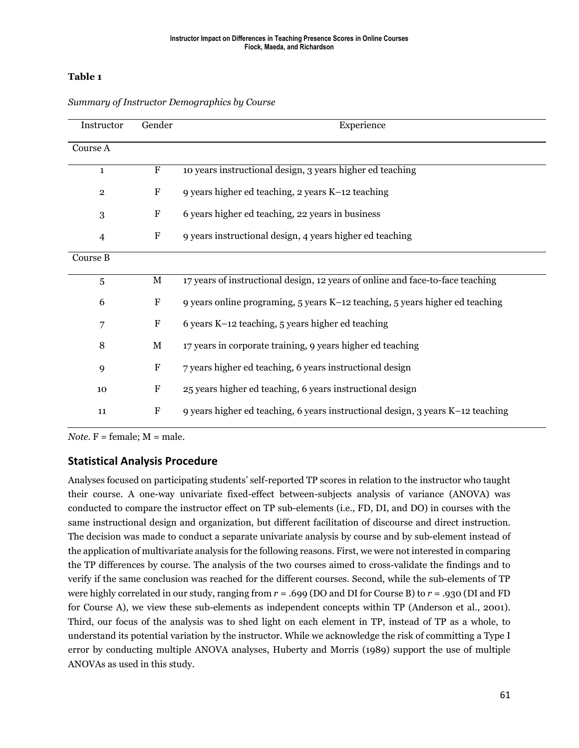#### **Table 1**

| Instructor     | Gender                    | Experience                                                                      |  |  |  |  |  |
|----------------|---------------------------|---------------------------------------------------------------------------------|--|--|--|--|--|
| Course A       |                           |                                                                                 |  |  |  |  |  |
| $\mathbf{1}$   | $\mathbf F$               | 10 years instructional design, 3 years higher ed teaching                       |  |  |  |  |  |
| $\mathbf{2}$   | ${\bf F}$                 | 9 years higher ed teaching, 2 years K-12 teaching                               |  |  |  |  |  |
| 3              | $\boldsymbol{\mathrm{F}}$ | 6 years higher ed teaching, 22 years in business                                |  |  |  |  |  |
| $\overline{4}$ | $\mathbf F$               | 9 years instructional design, 4 years higher ed teaching                        |  |  |  |  |  |
| Course B       |                           |                                                                                 |  |  |  |  |  |
| $\overline{5}$ | $\mathbf M$               | 17 years of instructional design, 12 years of online and face-to-face teaching  |  |  |  |  |  |
| 6              | ${\bf F}$                 | 9 years online programing, 5 years K-12 teaching, 5 years higher ed teaching    |  |  |  |  |  |
| 7              | $\boldsymbol{\mathrm{F}}$ | 6 years K-12 teaching, 5 years higher ed teaching                               |  |  |  |  |  |
| 8              | $\mathbf M$               | 17 years in corporate training, 9 years higher ed teaching                      |  |  |  |  |  |
| 9              | ${\bf F}$                 | 7 years higher ed teaching, 6 years instructional design                        |  |  |  |  |  |
| 10             | $\boldsymbol{\mathrm{F}}$ | 25 years higher ed teaching, 6 years instructional design                       |  |  |  |  |  |
| 11             | ${\bf F}$                 | 9 years higher ed teaching, 6 years instructional design, 3 years K-12 teaching |  |  |  |  |  |

*Summary of Instructor Demographics by Course*

*Note.*  $F = female$ ;  $M = male$ .

### **Statistical Analysis Procedure**

Analyses focused on participating students' self-reported TP scores in relation to the instructor who taught their course. A one-way univariate fixed-effect between-subjects analysis of variance (ANOVA) was conducted to compare the instructor effect on TP sub-elements (i.e., FD, DI, and DO) in courses with the same instructional design and organization, but different facilitation of discourse and direct instruction. The decision was made to conduct a separate univariate analysis by course and by sub-element instead of the application of multivariate analysis for the following reasons. First, we were not interested in comparing the TP differences by course. The analysis of the two courses aimed to cross-validate the findings and to verify if the same conclusion was reached for the different courses. Second, while the sub-elements of TP were highly correlated in our study, ranging from *r* = .699 (DO and DI for Course B) to *r* = .930 (DI and FD for Course A), we view these sub-elements as independent concepts within TP (Anderson et al., 2001). Third, our focus of the analysis was to shed light on each element in TP, instead of TP as a whole, to understand its potential variation by the instructor. While we acknowledge the risk of committing a Type I error by conducting multiple ANOVA analyses, Huberty and Morris (1989) support the use of multiple ANOVAs as used in this study.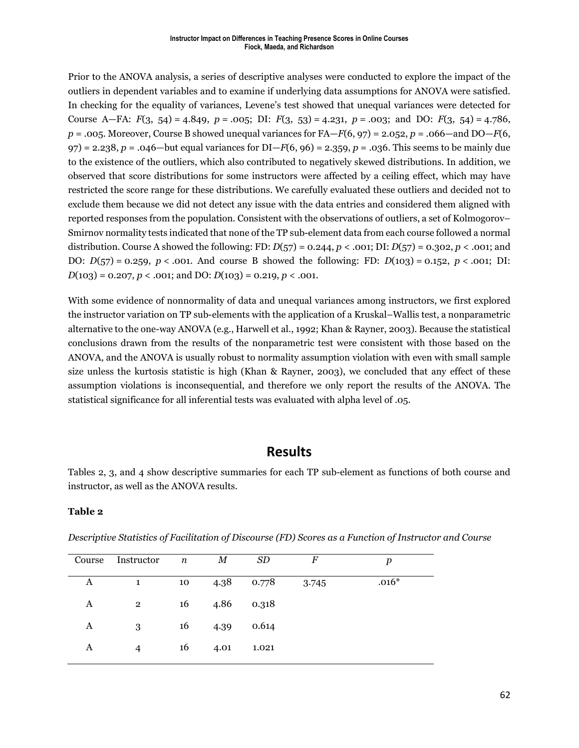Prior to the ANOVA analysis, a series of descriptive analyses were conducted to explore the impact of the outliers in dependent variables and to examine if underlying data assumptions for ANOVA were satisfied. In checking for the equality of variances, Levene's test showed that unequal variances were detected for Course A—FA: *F*(3, 54) = 4.849, *p* = .005; DI: *F*(3, 53) = 4.231, *p* = .003; and DO: *F*(3, 54) = 4.786,  $p = .005$ . Moreover, Course B showed unequal variances for FA—*F*(6, 97) = 2.052,  $p = .066$ —and DO—*F*(6, 97) = 2.238, *p* = .046—but equal variances for DI—*F*(6, 96) = 2.359, *p* = .036. This seems to be mainly due to the existence of the outliers, which also contributed to negatively skewed distributions. In addition, we observed that score distributions for some instructors were affected by a ceiling effect, which may have restricted the score range for these distributions. We carefully evaluated these outliers and decided not to exclude them because we did not detect any issue with the data entries and considered them aligned with reported responses from the population. Consistent with the observations of outliers, a set of Kolmogorov– Smirnov normality tests indicated that none of the TP sub-element data from each course followed a normal distribution. Course A showed the following: FD: *D*(57) = 0.244, *p* < .001; DI: *D*(57) = 0.302, *p* < .001; and DO: *D*(57) = 0.259, *p* < .001. And course B showed the following: FD: *D*(103) = 0.152, *p* < .001; DI:  $D(103) = 0.207, p < .001$ ; and  $D0$ :  $D(103) = 0.219, p < .001$ .

With some evidence of nonnormality of data and unequal variances among instructors, we first explored the instructor variation on TP sub-elements with the application of a Kruskal–Wallis test, a nonparametric alternative to the one-way ANOVA (e.g., Harwell et al., 1992; Khan & Rayner, 2003). Because the statistical conclusions drawn from the results of the nonparametric test were consistent with those based on the ANOVA, and the ANOVA is usually robust to normality assumption violation with even with small sample size unless the kurtosis statistic is high (Khan & Rayner, 2003), we concluded that any effect of these assumption violations is inconsequential, and therefore we only report the results of the ANOVA. The statistical significance for all inferential tests was evaluated with alpha level of .05.

### **Results**

Tables 2, 3, and 4 show descriptive summaries for each TP sub-element as functions of both course and instructor, as well as the ANOVA results.

#### **Table 2**

| Course | Instructor     | $\boldsymbol{n}$ | М    | SD    | F     | p       |
|--------|----------------|------------------|------|-------|-------|---------|
|        |                |                  |      |       |       |         |
| А      | $\mathbf{1}$   | 10               | 4.38 | 0.778 | 3.745 | $.016*$ |
|        |                |                  |      |       |       |         |
| A      | $\overline{2}$ | 16               | 4.86 | 0.318 |       |         |
|        |                |                  |      |       |       |         |
| A      | 3              | 16               | 4.39 | 0.614 |       |         |
|        |                |                  |      |       |       |         |
| A      | $\overline{4}$ | 16               | 4.01 | 1.021 |       |         |
|        |                |                  |      |       |       |         |

*Descriptive Statistics of Facilitation of Discourse (FD) Scores as a Function of Instructor and Course*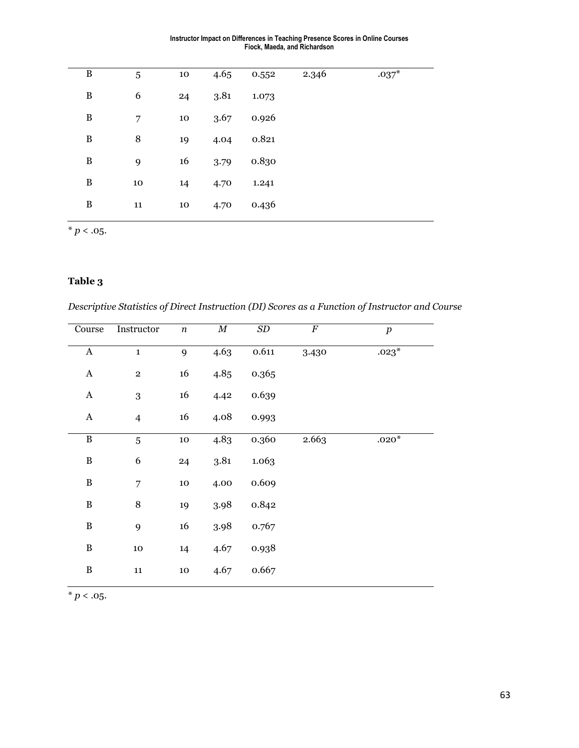| Instructor Impact on Differences in Teaching Presence Scores in Online Courses |
|--------------------------------------------------------------------------------|
| Fiock, Maeda, and Richardson                                                   |

| $\, {\bf B}$ | 5  | 10     | 4.65 | 0.552 | 2.346 | $.037*$ |
|--------------|----|--------|------|-------|-------|---------|
| $\, {\bf B}$ | 6  | 24     | 3.81 | 1.073 |       |         |
| $\, {\bf B}$ | 7  | 10     | 3.67 | 0.926 |       |         |
| $\, {\bf B}$ | 8  | 19     | 4.04 | 0.821 |       |         |
| $\, {\bf B}$ | 9  | 16     | 3.79 | 0.830 |       |         |
| $\, {\bf B}$ | 10 | 14     | 4.70 | 1.241 |       |         |
| $\, {\bf B}$ | 11 | $10\,$ | 4.70 | 0.436 |       |         |

 $\frac{1}{*} p < .05.$ 

### **Table 3**

*Descriptive Statistics of Direct Instruction (DI) Scores as a Function of Instructor and Course*

| Course       | Instructor     | $\boldsymbol{n}$ | $\overline{M}$    | SD        | $\overline{F}$ | $\boldsymbol{p}$ |
|--------------|----------------|------------------|-------------------|-----------|----------------|------------------|
| $\mathbf A$  | $\mathbf{1}$   | 9                | $4.6\overline{3}$ | $0.611\,$ | 3.430          | $.023*$          |
| $\mathbf A$  | $\,2$          | 16               | 4.85              | 0.365     |                |                  |
| $\bf A$      | $\,3$          | 16               | 4.42              | 0.639     |                |                  |
| $\mathbf A$  | $\overline{4}$ | 16               | 4.08              | 0.993     |                |                  |
| $\, {\bf B}$ | 5              | ${\bf 10}$       | 4.83              | 0.360     | 2.663          | $.020*$          |
| $\, {\bf B}$ | 6              | 24               | 3.81              | 1.063     |                |                  |
| $\, {\bf B}$ | 7              | 10               | 4.00              | 0.609     |                |                  |
| $\, {\bf B}$ | 8              | 19               | 3.98              | 0.842     |                |                  |
| $\, {\bf B}$ | 9              | 16               | 3.98              | 0.767     |                |                  |
| $\, {\bf B}$ | $10\,$         | 14               | 4.67              | 0.938     |                |                  |
| $\, {\bf B}$ | ${\bf 11}$     | $10\,$           | 4.67              | 0.667     |                |                  |
|              |                |                  |                   |           |                |                  |

 $*$   $p < .05$ .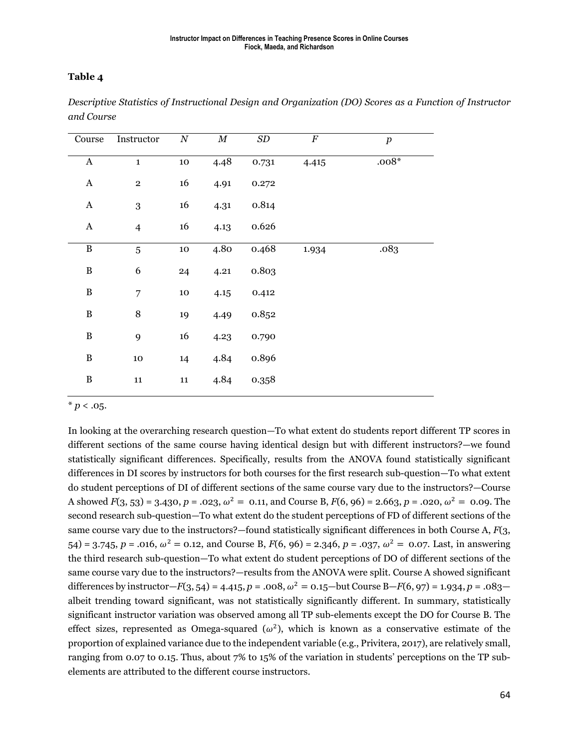#### **Table 4**

| Course       | Instructor     | $\cal N$   | $\boldsymbol{M}$ | $\,SD$ | $\overline{F}$ | $\boldsymbol{p}$ |
|--------------|----------------|------------|------------------|--------|----------------|------------------|
| $\bf A$      | $\mathbf{1}$   | 10         | 4.48             | 0.731  | 4.415          | $.008*$          |
| $\bf A$      | $\overline{2}$ | 16         | 4.91             | 0.272  |                |                  |
| $\mathbf A$  | 3              | 16         | 4.31             | 0.814  |                |                  |
| $\mathbf A$  | $\overline{4}$ | 16         | 4.13             | 0.626  |                |                  |
| $\, {\bf B}$ | 5              | ${\bf 10}$ | 4.80             | 0.468  | 1.934          | .083             |
| $\, {\bf B}$ | 6              | 24         | 4.21             | 0.803  |                |                  |
| $\, {\bf B}$ | 7              | $10\,$     | 4.15             | 0.412  |                |                  |
| $\, {\bf B}$ | $\,8\,$        | 19         | 4.49             | 0.852  |                |                  |
| $\, {\bf B}$ | 9              | 16         | 4.23             | 0.790  |                |                  |
| $\, {\bf B}$ | $10\,$         | 14         | 4.84             | 0.896  |                |                  |
| $\, {\bf B}$ | ${\bf 11}$     | ${\bf 11}$ | 4.84             | 0.358  |                |                  |

*Descriptive Statistics of Instructional Design and Organization (DO) Scores as a Function of Instructor and Course*

 $* p < .05.$ 

In looking at the overarching research question—To what extent do students report different TP scores in different sections of the same course having identical design but with different instructors?—we found statistically significant differences. Specifically, results from the ANOVA found statistically significant differences in DI scores by instructors for both courses for the first research sub-question—To what extent do student perceptions of DI of different sections of the same course vary due to the instructors?—Course A showed  $F(3, 53) = 3.430$ ,  $p = .023$ ,  $\omega^2 = 0.11$ , and Course B,  $F(6, 96) = 2.663$ ,  $p = .020$ ,  $\omega^2 = 0.09$ . The second research sub-question—To what extent do the student perceptions of FD of different sections of the same course vary due to the instructors?—found statistically significant differences in both Course A, *F*(3, 54) = 3.745,  $p = .016$ ,  $\omega^2 = 0.12$ , and Course B,  $F(6, 96) = 2.346$ ,  $p = .037$ ,  $\omega^2 = 0.07$ . Last, in answering the third research sub-question—To what extent do student perceptions of DO of different sections of the same course vary due to the instructors?—results from the ANOVA were split. Course A showed significant differences by instructor—*F*(3, 54) = 4.415, *p* = .008,  $\omega^2$  = 0.15—but Course B—*F*(6, 97) = 1.934, *p* = .083 albeit trending toward significant, was not statistically significantly different. In summary, statistically significant instructor variation was observed among all TP sub-elements except the DO for Course B. The effect sizes, represented as Omega-squared  $(\omega^2)$ , which is known as a conservative estimate of the proportion of explained variance due to the independent variable (e.g., Privitera, 2017), are relatively small, ranging from 0.07 to 0.15. Thus, about 7% to 15% of the variation in students' perceptions on the TP subelements are attributed to the different course instructors.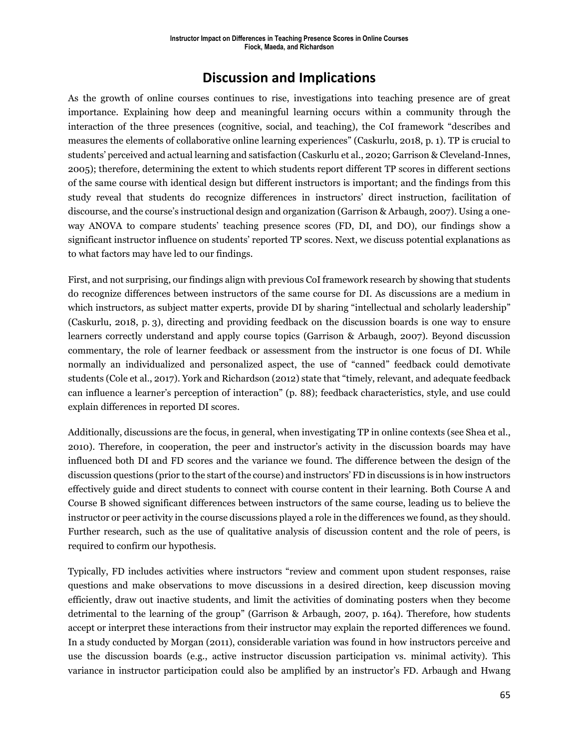## **Discussion and Implications**

As the growth of online courses continues to rise, investigations into teaching presence are of great importance. Explaining how deep and meaningful learning occurs within a community through the interaction of the three presences (cognitive, social, and teaching), the CoI framework "describes and measures the elements of collaborative online learning experiences" (Caskurlu, 2018, p. 1). TP is crucial to students' perceived and actual learning and satisfaction (Caskurlu et al., 2020; Garrison & Cleveland-Innes, 2005); therefore, determining the extent to which students report different TP scores in different sections of the same course with identical design but different instructors is important; and the findings from this study reveal that students do recognize differences in instructors' direct instruction, facilitation of discourse, and the course's instructional design and organization (Garrison & Arbaugh, 2007). Using a oneway ANOVA to compare students' teaching presence scores (FD, DI, and DO), our findings show a significant instructor influence on students' reported TP scores. Next, we discuss potential explanations as to what factors may have led to our findings.

First, and not surprising, our findings align with previous CoI framework research by showing that students do recognize differences between instructors of the same course for DI. As discussions are a medium in which instructors, as subject matter experts, provide DI by sharing "intellectual and scholarly leadership" (Caskurlu, 2018, p. 3), directing and providing feedback on the discussion boards is one way to ensure learners correctly understand and apply course topics (Garrison & Arbaugh, 2007). Beyond discussion commentary, the role of learner feedback or assessment from the instructor is one focus of DI. While normally an individualized and personalized aspect, the use of "canned" feedback could demotivate students (Cole et al., 2017). York and Richardson (2012) state that "timely, relevant, and adequate feedback can influence a learner's perception of interaction" (p. 88); feedback characteristics, style, and use could explain differences in reported DI scores.

Additionally, discussions are the focus, in general, when investigating TP in online contexts (see Shea et al., 2010). Therefore, in cooperation, the peer and instructor's activity in the discussion boards may have influenced both DI and FD scores and the variance we found. The difference between the design of the discussion questions (prior to the start of the course) and instructors' FD in discussions is in how instructors effectively guide and direct students to connect with course content in their learning. Both Course A and Course B showed significant differences between instructors of the same course, leading us to believe the instructor or peer activity in the course discussions played a role in the differences we found, as they should. Further research, such as the use of qualitative analysis of discussion content and the role of peers, is required to confirm our hypothesis.

Typically, FD includes activities where instructors "review and comment upon student responses, raise questions and make observations to move discussions in a desired direction, keep discussion moving efficiently, draw out inactive students, and limit the activities of dominating posters when they become detrimental to the learning of the group" (Garrison & Arbaugh, 2007, p. 164). Therefore, how students accept or interpret these interactions from their instructor may explain the reported differences we found. In a study conducted by Morgan (2011), considerable variation was found in how instructors perceive and use the discussion boards (e.g., active instructor discussion participation vs. minimal activity). This variance in instructor participation could also be amplified by an instructor's FD. Arbaugh and Hwang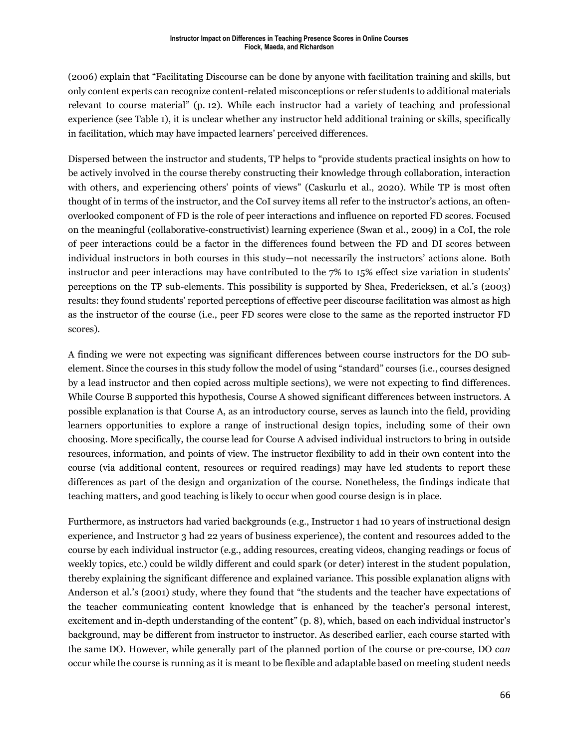(2006) explain that "Facilitating Discourse can be done by anyone with facilitation training and skills, but only content experts can recognize content-related misconceptions or refer students to additional materials relevant to course material" (p. 12). While each instructor had a variety of teaching and professional experience (see Table 1), it is unclear whether any instructor held additional training or skills, specifically in facilitation, which may have impacted learners' perceived differences.

Dispersed between the instructor and students, TP helps to "provide students practical insights on how to be actively involved in the course thereby constructing their knowledge through collaboration, interaction with others, and experiencing others' points of views" (Caskurlu et al., 2020). While TP is most often thought of in terms of the instructor, and the CoI survey items all refer to the instructor's actions, an oftenoverlooked component of FD is the role of peer interactions and influence on reported FD scores. Focused on the meaningful (collaborative-constructivist) learning experience (Swan et al., 2009) in a CoI, the role of peer interactions could be a factor in the differences found between the FD and DI scores between individual instructors in both courses in this study—not necessarily the instructors' actions alone. Both instructor and peer interactions may have contributed to the 7% to 15% effect size variation in students' perceptions on the TP sub-elements. This possibility is supported by Shea, Fredericksen, et al.'s (2003) results: they found students' reported perceptions of effective peer discourse facilitation was almost as high as the instructor of the course (i.e., peer FD scores were close to the same as the reported instructor FD scores).

A finding we were not expecting was significant differences between course instructors for the DO subelement. Since the courses in this study follow the model of using "standard" courses (i.e., courses designed by a lead instructor and then copied across multiple sections), we were not expecting to find differences. While Course B supported this hypothesis, Course A showed significant differences between instructors. A possible explanation is that Course A, as an introductory course, serves as launch into the field, providing learners opportunities to explore a range of instructional design topics, including some of their own choosing. More specifically, the course lead for Course A advised individual instructors to bring in outside resources, information, and points of view. The instructor flexibility to add in their own content into the course (via additional content, resources or required readings) may have led students to report these differences as part of the design and organization of the course. Nonetheless, the findings indicate that teaching matters, and good teaching is likely to occur when good course design is in place.

Furthermore, as instructors had varied backgrounds (e.g., Instructor 1 had 10 years of instructional design experience, and Instructor 3 had 22 years of business experience), the content and resources added to the course by each individual instructor (e.g., adding resources, creating videos, changing readings or focus of weekly topics, etc.) could be wildly different and could spark (or deter) interest in the student population, thereby explaining the significant difference and explained variance. This possible explanation aligns with Anderson et al.'s (2001) study, where they found that "the students and the teacher have expectations of the teacher communicating content knowledge that is enhanced by the teacher's personal interest, excitement and in-depth understanding of the content" (p. 8), which, based on each individual instructor's background, may be different from instructor to instructor. As described earlier, each course started with the same DO. However, while generally part of the planned portion of the course or pre-course, DO *can*  occur while the course is running as it is meant to be flexible and adaptable based on meeting student needs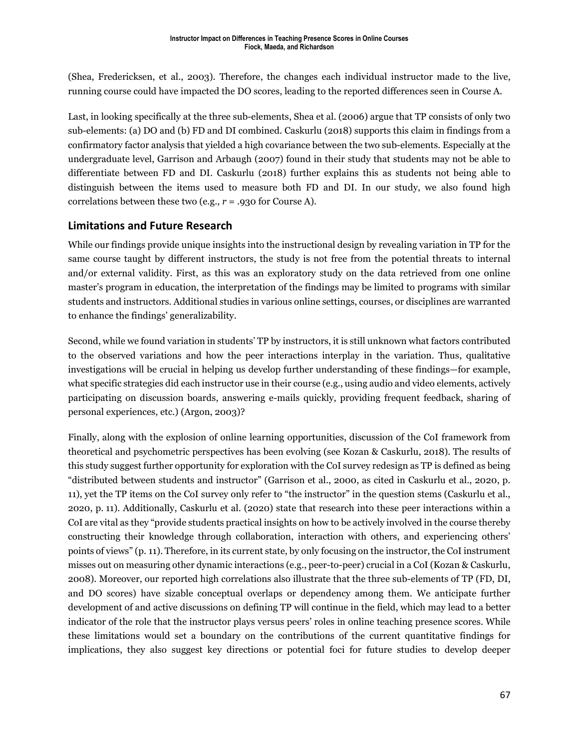(Shea, Fredericksen, et al., 2003). Therefore, the changes each individual instructor made to the live, running course could have impacted the DO scores, leading to the reported differences seen in Course A.

Last, in looking specifically at the three sub-elements, Shea et al. (2006) argue that TP consists of only two sub-elements: (a) DO and (b) FD and DI combined. Caskurlu (2018) supports this claim in findings from a confirmatory factor analysis that yielded a high covariance between the two sub-elements. Especially at the undergraduate level, Garrison and Arbaugh (2007) found in their study that students may not be able to differentiate between FD and DI. Caskurlu (2018) further explains this as students not being able to distinguish between the items used to measure both FD and DI. In our study, we also found high correlations between these two (e.g., *r* = .930 for Course A).

### **Limitations and Future Research**

While our findings provide unique insights into the instructional design by revealing variation in TP for the same course taught by different instructors, the study is not free from the potential threats to internal and/or external validity. First, as this was an exploratory study on the data retrieved from one online master's program in education, the interpretation of the findings may be limited to programs with similar students and instructors. Additional studies in various online settings, courses, or disciplines are warranted to enhance the findings' generalizability.

Second, while we found variation in students' TP by instructors, it is still unknown what factors contributed to the observed variations and how the peer interactions interplay in the variation. Thus, qualitative investigations will be crucial in helping us develop further understanding of these findings—for example, what specific strategies did each instructor use in their course (e.g., using audio and video elements, actively participating on discussion boards, answering e-mails quickly, providing frequent feedback, sharing of personal experiences, etc.) (Argon, 2003)?

Finally, along with the explosion of online learning opportunities, discussion of the CoI framework from theoretical and psychometric perspectives has been evolving (see Kozan & Caskurlu, 2018). The results of this study suggest further opportunity for exploration with the CoI survey redesign as TP is defined as being "distributed between students and instructor" (Garrison et al., 2000, as cited in Caskurlu et al., 2020, p. 11), yet the TP items on the CoI survey only refer to "the instructor" in the question stems (Caskurlu et al., 2020, p. 11). Additionally, Caskurlu et al. (2020) state that research into these peer interactions within a CoI are vital as they "provide students practical insights on how to be actively involved in the course thereby constructing their knowledge through collaboration, interaction with others, and experiencing others' points of views" (p. 11). Therefore, in its current state, by only focusing on the instructor, the CoI instrument misses out on measuring other dynamic interactions (e.g., peer-to-peer) crucial in a CoI (Kozan & Caskurlu, 2008). Moreover, our reported high correlations also illustrate that the three sub-elements of TP (FD, DI, and DO scores) have sizable conceptual overlaps or dependency among them. We anticipate further development of and active discussions on defining TP will continue in the field, which may lead to a better indicator of the role that the instructor plays versus peers' roles in online teaching presence scores. While these limitations would set a boundary on the contributions of the current quantitative findings for implications, they also suggest key directions or potential foci for future studies to develop deeper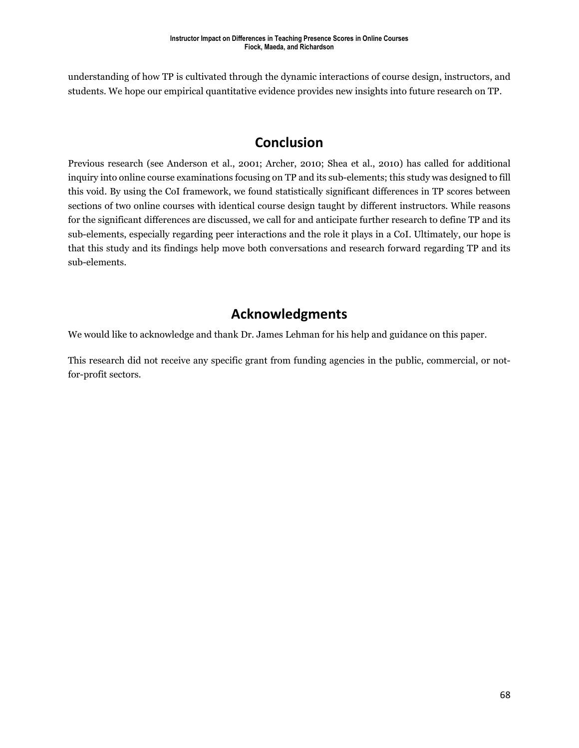understanding of how TP is cultivated through the dynamic interactions of course design, instructors, and students. We hope our empirical quantitative evidence provides new insights into future research on TP.

### **Conclusion**

Previous research (see Anderson et al., 2001; Archer, 2010; Shea et al., 2010) has called for additional inquiry into online course examinations focusing on TP and its sub-elements; this study was designed to fill this void. By using the CoI framework, we found statistically significant differences in TP scores between sections of two online courses with identical course design taught by different instructors. While reasons for the significant differences are discussed, we call for and anticipate further research to define TP and its sub-elements, especially regarding peer interactions and the role it plays in a CoI. Ultimately, our hope is that this study and its findings help move both conversations and research forward regarding TP and its sub-elements.

### **Acknowledgments**

We would like to acknowledge and thank Dr. James Lehman for his help and guidance on this paper.

This research did not receive any specific grant from funding agencies in the public, commercial, or notfor-profit sectors.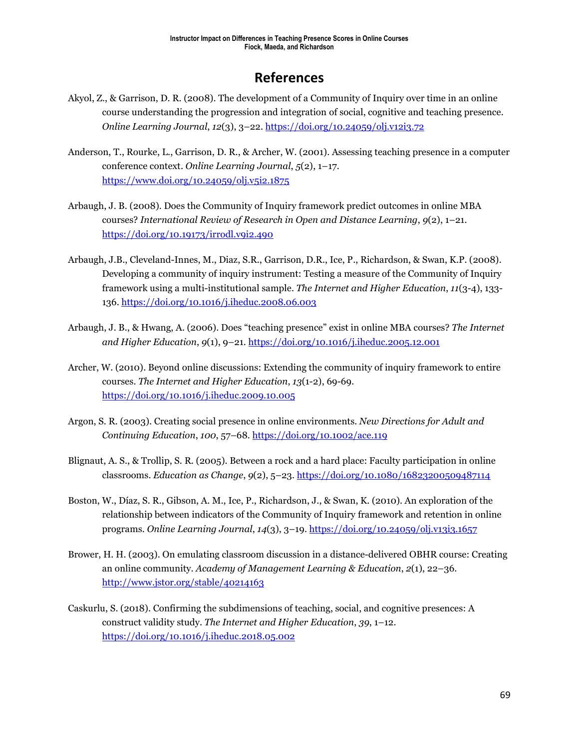# **References**

- Akyol, Z., & Garrison, D. R. (2008). The development of a Community of Inquiry over time in an online course understanding the progression and integration of social, cognitive and teaching presence. *Online Learning Journal*, *12*(3), 3–22. <https://doi.org/10.24059/olj.v12i3.72>
- Anderson, T., Rourke, L., Garrison, D. R., & Archer, W. (2001). Assessing teaching presence in a computer conference context. *Online Learning Journal*, *5*(2), 1–17. <https://www.doi.org/10.24059/olj.v5i2.1875>
- Arbaugh, J. B. (2008). Does the Community of Inquiry framework predict outcomes in online MBA courses? *International Review of Research in Open and Distance Learning*, *9*(2), 1–21. <https://doi.org/10.19173/irrodl.v9i2.490>
- Arbaugh, J.B., Cleveland-Innes, M., Diaz, S.R., Garrison, D.R., Ice, P., Richardson, & Swan, K.P. (2008). Developing a community of inquiry instrument: Testing a measure of the Community of Inquiry framework using a multi-institutional sample. *The Internet and Higher Education*, *11*(3-4), 133- 136[. https://doi.org/10.1016/j.iheduc.2008.06.003](https://doi.org/10.1016/j.iheduc.2008.06.003)
- Arbaugh, J. B., & Hwang, A. (2006). Does "teaching presence" exist in online MBA courses? *The Internet and Higher Education*, *9*(1), 9–21.<https://doi.org/10.1016/j.iheduc.2005.12.001>
- Archer, W. (2010). Beyond online discussions: Extending the community of inquiry framework to entire courses. *The Internet and Higher Education*, *13*(1-2), 69-69. <https://doi.org/10.1016/j.iheduc.2009.10.005>
- Argon, S. R. (2003). Creating social presence in online environments. *New Directions for Adult and Continuing Education*, *100*, 57–68. <https://doi.org/10.1002/ace.119>
- Blignaut, A. S., & Trollip, S. R. (2005). Between a rock and a hard place: Faculty participation in online classrooms. *Education as Change*, *9*(2), 5–23. <https://doi.org/10.1080/16823200509487114>
- Boston, W., Díaz, S. R., Gibson, A. M., Ice, P., Richardson, J., & Swan, K. (2010). An exploration of the relationship between indicators of the Community of Inquiry framework and retention in online programs. *Online Learning Journal*, *14*(3), 3–19.<https://doi.org/10.24059/olj.v13i3.1657>
- Brower, H. H. (2003). On emulating classroom discussion in a distance-delivered OBHR course: Creating an online community. *Academy of Management Learning & Education*, *2*(1), 22–36. <http://www.jstor.org/stable/40214163>
- Caskurlu, S. (2018). Confirming the subdimensions of teaching, social, and cognitive presences: A construct validity study. *The Internet and Higher Education*, *39*, 1–12. <https://doi.org/10.1016/j.iheduc.2018.05.002>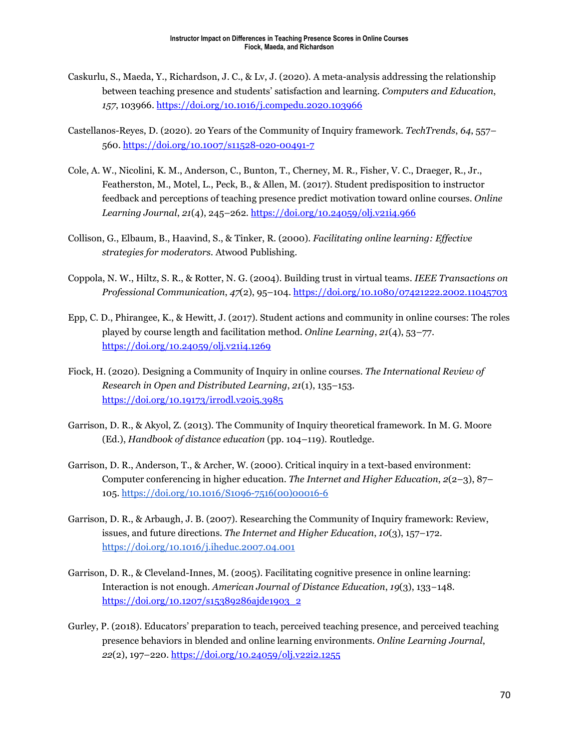- Caskurlu, S., Maeda, Y., Richardson, J. C., & Lv, J. (2020). A meta-analysis addressing the relationship between teaching presence and students' satisfaction and learning. *Computers and Education*, *157*, 103966[. https://doi.org/10.1016/j.compedu.2020.103966](https://doi.org/10.1016/j.compedu.2020.103966)
- Castellanos-Reyes, D. (2020). 20 Years of the Community of Inquiry framework. *TechTrends*, *64*, 557– 560.<https://doi.org/10.1007/s11528-020-00491-7>
- Cole, A. W., Nicolini, K. M., Anderson, C., Bunton, T., Cherney, M. R., Fisher, V. C., Draeger, R., Jr., Featherston, M., Motel, L., Peck, B., & Allen, M. (2017). Student predisposition to instructor feedback and perceptions of teaching presence predict motivation toward online courses. *Online Learning Journal*, *21*(4), 245–262. <https://doi.org/10.24059/olj.v21i4.966>
- Collison, G., Elbaum, B., Haavind, S., & Tinker, R. (2000). *Facilitating online learning: Effective strategies for moderators.* Atwood Publishing.
- Coppola, N. W., Hiltz, S. R., & Rotter, N. G. (2004). Building trust in virtual teams. *IEEE Transactions on Professional Communication*, *47*(2), 95–104. <https://doi.org/10.1080/07421222.2002.11045703>
- Epp, C. D., Phirangee, K., & Hewitt, J. (2017). Student actions and community in online courses: The roles played by course length and facilitation method*. Online Learning*, *21*(4), 53–77. <https://doi.org/10.24059/olj.v21i4.1269>
- Fiock, H. (2020). Designing a Community of Inquiry in online courses. *The International Review of Research in Open and Distributed Learning*, *21*(1), 135–153. <https://doi.org/10.19173/irrodl.v20i5.3985>
- Garrison, D. R., & Akyol, Z. (2013). The Community of Inquiry theoretical framework. In M. G. Moore (Ed.), *Handbook of distance education* (pp. 104–119). Routledge.
- Garrison, D. R., Anderson, T., & Archer, W. (2000). Critical inquiry in a text-based environment: Computer conferencing in higher education. *The Internet and Higher Education*, *2*(2–3), 87– 105. [https://doi.org/10.1016/S1096-7516\(00\)00016-6](https://doi.org/10.1016/S1096-7516(00)00016-6)
- Garrison, D. R., & Arbaugh, J. B. (2007). Researching the Community of Inquiry framework: Review, issues, and future directions. *The Internet and Higher Education*, *10*(3), 157–172. <https://doi.org/10.1016/j.iheduc.2007.04.001>
- Garrison, D. R., & Cleveland-Innes, M. (2005). Facilitating cognitive presence in online learning: Interaction is not enough. *American Journal of Distance Education*, *19*(3), 133−148. [https://doi.org/10.1207/s15389286ajde1903\\_2](https://doi.org/10.1207/s15389286ajde1903_2)
- Gurley, P. (2018). Educators' preparation to teach, perceived teaching presence, and perceived teaching presence behaviors in blended and online learning environments. *Online Learning Journal*, *22*(2), 197–220.<https://doi.org/10.24059/olj.v22i2.1255>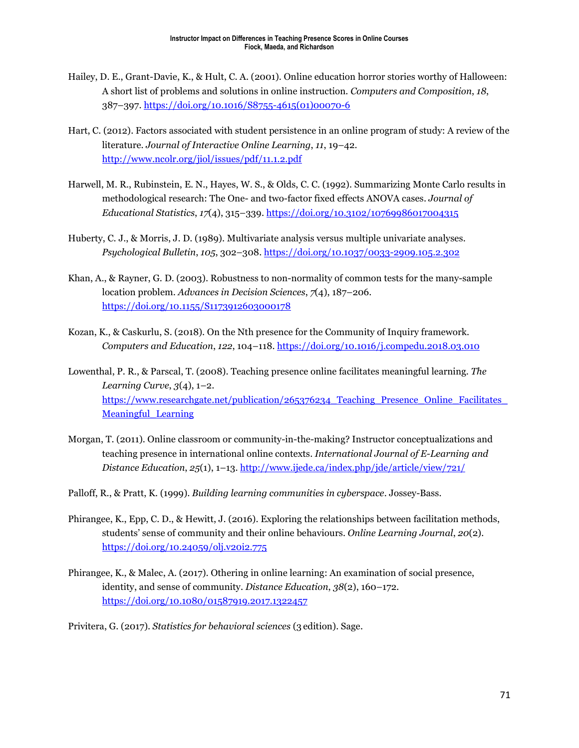- Hailey, D. E., Grant-Davie, K., & Hult, C. A. (2001). Online education horror stories worthy of Halloween: A short list of problems and solutions in online instruction. *Computers and Composition*, *18*, 387–397. [https://doi.org/10.1016/S8755-4615\(01\)00070-6](https://doi.org/10.1016/S8755-4615(01)00070-6)
- Hart, C. (2012). Factors associated with student persistence in an online program of study: A review of the literature. *Journal of Interactive Online Learning*, *11*, 19–42. <http://www.ncolr.org/jiol/issues/pdf/11.1.2.pdf>
- Harwell, M. R., Rubinstein, E. N., Hayes, W. S., & Olds, C. C. (1992). Summarizing Monte Carlo results in methodological research: The One- and two-factor fixed effects ANOVA cases. *Journal of Educational Statistics*, *17*(4), 315–339.<https://doi.org/10.3102/10769986017004315>
- Huberty, C. J., & Morris, J. D. (1989). Multivariate analysis versus multiple univariate analyses. *Psychological Bulletin*, *105*, 302–308. <https://doi.org/10.1037/0033-2909.105.2.302>
- Khan, A., & Rayner, G. D. (2003). Robustness to non-normality of common tests for the many-sample location problem. *Advances in Decision Sciences*, *7*(4), 187–206. <https://doi.org/10.1155/S1173912603000178>
- Kozan, K., & Caskurlu, S. (2018). On the Nth presence for the Community of Inquiry framework. *Computers and Education*, *122*, 104–118.<https://doi.org/10.1016/j.compedu.2018.03.010>
- Lowenthal, P. R., & Parscal, T. (2008). Teaching presence online facilitates meaningful learning. *The Learning Curve*, *3*(4), 1–2. https://www.researchgate.net/publication/265376234 Teaching Presence Online Facilitates Meaningful Learning
- Morgan, T. (2011). Online classroom or community-in-the-making? Instructor conceptualizations and teaching presence in international online contexts. *International Journal of E-Learning and Distance Education*, *25*(1), 1–13.<http://www.ijede.ca/index.php/jde/article/view/721/>
- Palloff, R., & Pratt, K. (1999). *Building learning communities in cyberspace*. Jossey-Bass.
- Phirangee, K., Epp, C. D., & Hewitt, J. (2016). Exploring the relationships between facilitation methods, students' sense of community and their online behaviours. *Online Learning Journal*, *20*(2). <https://doi.org/10.24059/olj.v20i2.775>
- Phirangee, K., & Malec, A. (2017). Othering in online learning: An examination of social presence, identity, and sense of community. *Distance Education*, *38*(2), 160–172. <https://doi.org/10.1080/01587919.2017.1322457>
- Privitera, G. (2017). *Statistics for behavioral sciences* (3 edition). Sage.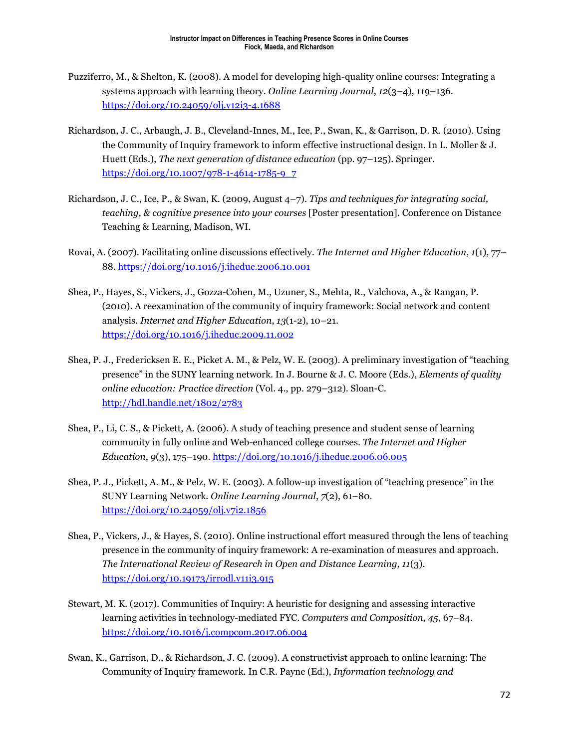- Puzziferro, M., & Shelton, K. (2008). A model for developing high-quality online courses: Integrating a systems approach with learning theory. *Online Learning Journal*, *12*(3–4), 119–136. <https://doi.org/10.24059/olj.v12i3-4.1688>
- Richardson, J. C., Arbaugh, J. B., Cleveland-Innes, M., Ice, P., Swan, K., & Garrison, D. R. (2010). Using the Community of Inquiry framework to inform effective instructional design. In L. Moller & J. Huett (Eds.), *The next generation of distance education* (pp. 97–125). Springer. [https://doi.org/10.1007/978-1-4614-1785-9\\_7](https://doi.org/10.1007/978-1-4614-1785-9_7)
- Richardson, J. C., Ice, P., & Swan, K. (2009, August 4–7). *Tips and techniques for integrating social, teaching, & cognitive presence into your courses* [Poster presentation]. Conference on Distance Teaching & Learning, Madison, WI.
- Rovai, A. (2007). Facilitating online discussions effectively. *The Internet and Higher Education*, *1*(1), 77– 88.<https://doi.org/10.1016/j.iheduc.2006.10.001>
- Shea, P., Hayes, S., Vickers, J., Gozza-Cohen, M., Uzuner, S., Mehta, R., Valchova, A., & Rangan, P. (2010). A reexamination of the community of inquiry framework: Social network and content analysis. *Internet and Higher Education*, *13*(1-2), 10–21. <https://doi.org/10.1016/j.iheduc.2009.11.002>
- Shea, P. J., Fredericksen E. E., Picket A. M., & Pelz, W. E. (2003). A preliminary investigation of "teaching presence" in the SUNY learning network. In J. Bourne & J. C. Moore (Eds.), *Elements of quality online education: Practice direction* (Vol. 4., pp. 279–312). Sloan-C. <http://hdl.handle.net/1802/2783>
- Shea, P., Li, C. S., & Pickett, A. (2006). A study of teaching presence and student sense of learning community in fully online and Web-enhanced college courses. *The Internet and Higher Education*, *9*(3), 175–190.<https://doi.org/10.1016/j.iheduc.2006.06.005>
- Shea, P. J., Pickett, A. M., & Pelz, W. E. (2003). A follow-up investigation of "teaching presence" in the SUNY Learning Network. *Online Learning Journal*, *7*(2), 61–80. <https://doi.org/10.24059/olj.v7i2.1856>
- Shea, P., Vickers, J., & Hayes, S. (2010). Online instructional effort measured through the lens of teaching presence in the community of inquiry framework: A re-examination of measures and approach. *The International Review of Research in Open and Distance Learning, 11*(3). <https://doi.org/10.19173/irrodl.v11i3.915>
- Stewart, M. K. (2017). Communities of Inquiry: A heuristic for designing and assessing interactive learning activities in technology-mediated FYC. *Computers and Composition*, *45*, 67–84. <https://doi.org/10.1016/j.compcom.2017.06.004>
- Swan, K., Garrison, D., & Richardson, J. C. (2009). A constructivist approach to online learning: The Community of Inquiry framework. In C.R. Payne (Ed.), *Information technology and*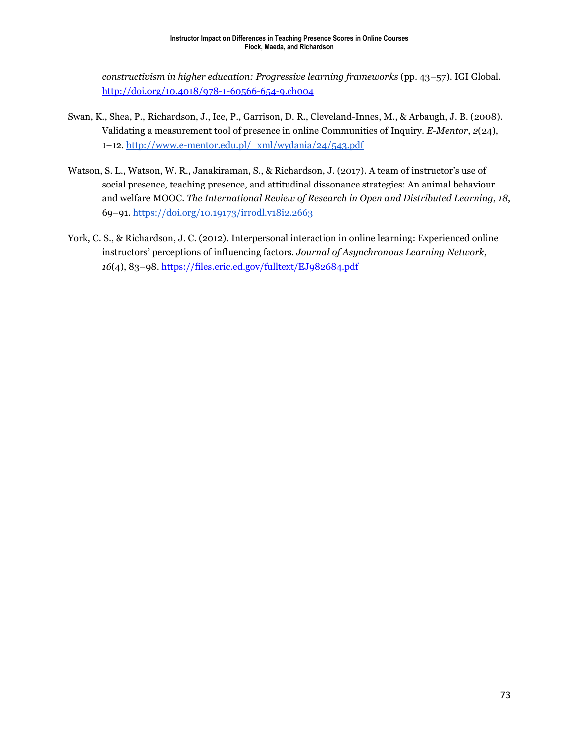*constructivism in higher education: Progressive learning frameworks* (pp. 43–57). IGI Global. <http://doi.org/10.4018/978-1-60566-654-9.ch004>

- Swan, K., Shea, P., Richardson, J., Ice, P., Garrison, D. R., Cleveland-Innes, M., & Arbaugh, J. B. (2008). Validating a measurement tool of presence in online Communities of Inquiry. *E-Mentor*, *2*(24), 1–12[. http://www.e-mentor.edu.pl/\\_xml/wydania/24/543.pdf](http://www.e-mentor.edu.pl/_xml/wydania/24/543.pdf)
- Watson, S. L., Watson, W. R., Janakiraman, S., & Richardson, J. (2017). A team of instructor's use of social presence, teaching presence, and attitudinal dissonance strategies: An animal behaviour and welfare MOOC. *The International Review of Research in Open and Distributed Learning*, *18*, 69–91.<https://doi.org/10.19173/irrodl.v18i2.2663>
- York, C. S., & Richardson, J. C. (2012). Interpersonal interaction in online learning: Experienced online instructors' perceptions of influencing factors. *Journal of Asynchronous Learning Network*, *16*(4), 83–98. <https://files.eric.ed.gov/fulltext/EJ982684.pdf>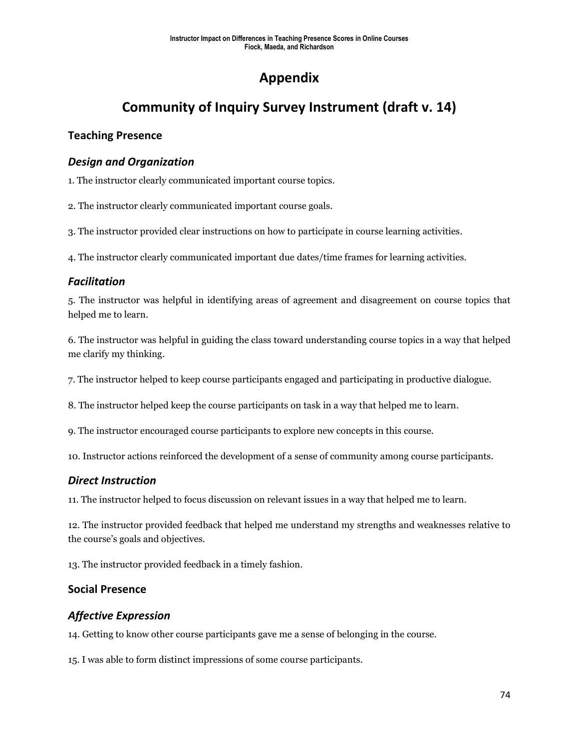# **Appendix**

# **Community of Inquiry Survey Instrument (draft v. 14)**

### **Teaching Presence**

### *Design and Organization*

1. The instructor clearly communicated important course topics.

2. The instructor clearly communicated important course goals.

3. The instructor provided clear instructions on how to participate in course learning activities.

4. The instructor clearly communicated important due dates/time frames for learning activities.

### *Facilitation*

5. The instructor was helpful in identifying areas of agreement and disagreement on course topics that helped me to learn.

6. The instructor was helpful in guiding the class toward understanding course topics in a way that helped me clarify my thinking.

7. The instructor helped to keep course participants engaged and participating in productive dialogue.

8. The instructor helped keep the course participants on task in a way that helped me to learn.

9. The instructor encouraged course participants to explore new concepts in this course.

10. Instructor actions reinforced the development of a sense of community among course participants.

### *Direct Instruction*

11. The instructor helped to focus discussion on relevant issues in a way that helped me to learn.

12. The instructor provided feedback that helped me understand my strengths and weaknesses relative to the course's goals and objectives.

13. The instructor provided feedback in a timely fashion.

### **Social Presence**

### *Affective Expression*

14. Getting to know other course participants gave me a sense of belonging in the course.

15. I was able to form distinct impressions of some course participants.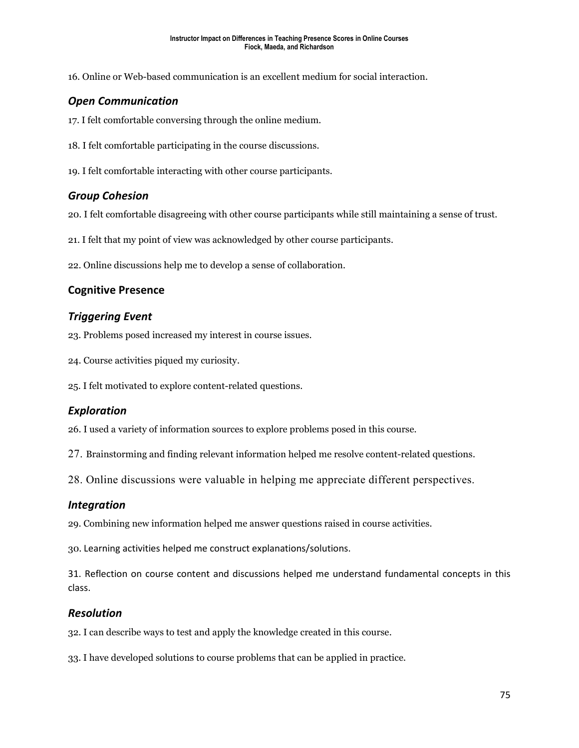16. Online or Web-based communication is an excellent medium for social interaction.

### *Open Communication*

17. I felt comfortable conversing through the online medium.

- 18. I felt comfortable participating in the course discussions.
- 19. I felt comfortable interacting with other course participants.

### *Group Cohesion*

20. I felt comfortable disagreeing with other course participants while still maintaining a sense of trust.

21. I felt that my point of view was acknowledged by other course participants.

22. Online discussions help me to develop a sense of collaboration.

### **Cognitive Presence**

### *Triggering Event*

23. Problems posed increased my interest in course issues.

- 24. Course activities piqued my curiosity.
- 25. I felt motivated to explore content-related questions.

### *Exploration*

26. I used a variety of information sources to explore problems posed in this course.

27. Brainstorming and finding relevant information helped me resolve content-related questions.

28. Online discussions were valuable in helping me appreciate different perspectives.

### *Integration*

29. Combining new information helped me answer questions raised in course activities.

30. Learning activities helped me construct explanations/solutions.

31. Reflection on course content and discussions helped me understand fundamental concepts in this class.

#### *Resolution*

32. I can describe ways to test and apply the knowledge created in this course.

33. I have developed solutions to course problems that can be applied in practice.